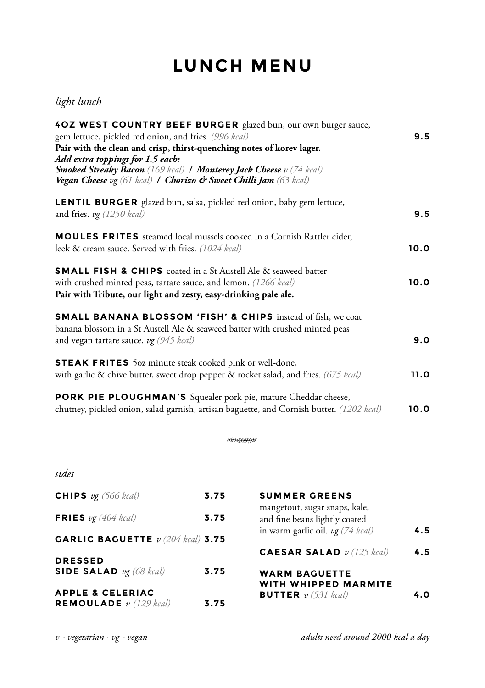## **LUNCH MENU**

## *light lunch*

| 40Z WEST COUNTRY BEEF BURGER glazed bun, our own burger sauce,<br>gem lettuce, pickled red onion, and fries. (996 kcal)<br>Pair with the clean and crisp, thirst-quenching notes of korev lager.<br>Add extra toppings for 1.5 each:<br><b>Smoked Streaky Bacon</b> (169 kcal) <b>/ Monterey Jack Cheese</b> v (74 kcal)<br>Vegan Cheese vg (61 kcal) / Chorizo & Sweet Chilli Jam (63 kcal) | 9.5  |
|----------------------------------------------------------------------------------------------------------------------------------------------------------------------------------------------------------------------------------------------------------------------------------------------------------------------------------------------------------------------------------------------|------|
| <b>LENTIL BURGER</b> glazed bun, salsa, pickled red onion, baby gem lettuce,<br>and fries. $v\mathfrak{g}$ (1250 kcal)                                                                                                                                                                                                                                                                       | 9.5  |
| <b>MOULES FRITES</b> steamed local mussels cooked in a Cornish Rattler cider,<br>leek & cream sauce. Served with fries. (1024 kcal)                                                                                                                                                                                                                                                          | 10.0 |
| <b>SMALL FISH &amp; CHIPS</b> coated in a St Austell Ale & seaweed batter<br>with crushed minted peas, tartare sauce, and lemon. (1266 kcal)<br>Pair with Tribute, our light and zesty, easy-drinking pale ale.                                                                                                                                                                              | 10.0 |
| <b>SMALL BANANA BLOSSOM 'FISH' &amp; CHIPS</b> instead of fish, we coat<br>banana blossom in a St Austell Ale & seaweed batter with crushed minted peas<br>and vegan tartare sauce. $\nu$ g (945 kcal)                                                                                                                                                                                       | 9.0  |
| <b>STEAK FRITES</b> 50z minute steak cooked pink or well-done,<br>with garlic & chive butter, sweet drop pepper & rocket salad, and fries. (675 kcal)                                                                                                                                                                                                                                        | 11.0 |
| PORK PIE PLOUGHMAN'S Squealer pork pie, mature Cheddar cheese,<br>chutney, pickled onion, salad garnish, artisan baguette, and Cornish butter. (1202 kcal)                                                                                                                                                                                                                                   | 10.0 |

SARIA SA

## *sides*

| <b>CHIPS</b> $v_{\mathcal{R}}$ (566 kcal)                             | 3.75 | <b>SUMMER GREENS</b>                                           |     |
|-----------------------------------------------------------------------|------|----------------------------------------------------------------|-----|
| <b>FRIES</b> $v$ g (404 kcal)                                         | 3.75 | mangetout, sugar snaps, kale,<br>and fine beans lightly coated |     |
| <b>GARLIC BAGUETTE</b> $v$ (204 kcal) <b>3.75</b>                     |      | in warm garlic oil. $v\mathfrak{g}$ (74 kcal)                  | 4.5 |
| <b>DRESSED</b>                                                        |      | <b>CAESAR SALAD</b> $v(125$ kcal)                              | 4.5 |
| SIDE SALAD $v\mathfrak{g}$ (68 kcal)                                  | 3.75 | <b>WARM BAGUETTE</b><br>WITH WHIPPED MARMITE                   |     |
| <b>APPLE &amp; CELERIAC</b><br><b>REMOULADE</b> $v(129 \text{ kcal})$ | 3.75 | <b>BUTTER</b> $v$ (531 kcal)                                   | 4.0 |